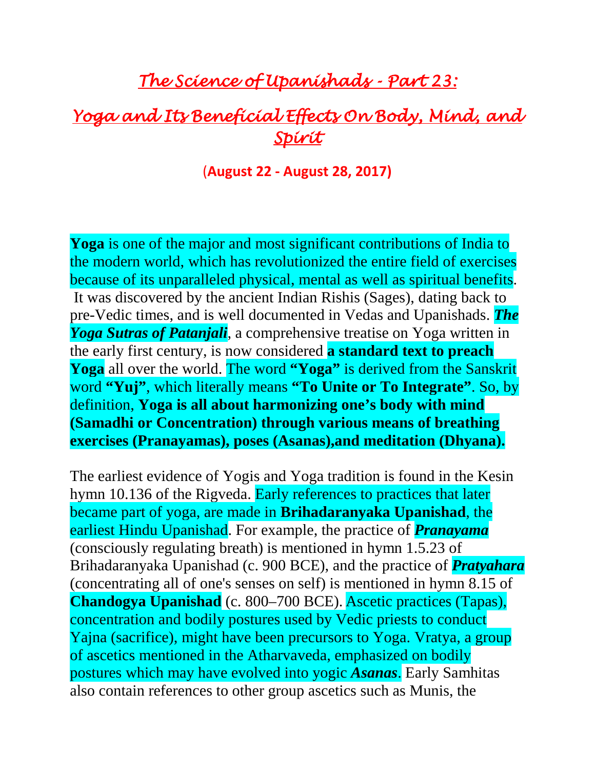## *The Science of Upanishads - Part 23:*

## *Yoga and Its Beneficial Effects On Body, Mind, and Spirit*

## (**August 22 - August 28, 2017)**

**Yoga** is one of the major and most significant contributions of India to the modern world, which has revolutionized the entire field of exercises because of its unparalleled physical, mental as well as spiritual benefits. It was discovered by the ancient Indian Rishis (Sages), dating back to pre-Vedic times, and is well documented in Vedas and Upanishads. *The Yoga Sutras of Patanjali*, a comprehensive treatise on Yoga written in the early first century, is now considered **a standard text to preach Yoga** all over the world. The word **"Yoga"** is derived from the Sanskrit word **"Yuj"**, which literally means **"To Unite or To Integrate"**. So, by definition, **Yoga is all about harmonizing one's body with mind (Samadhi or Concentration) through various means of breathing exercises (Pranayamas), poses (Asanas),and meditation (Dhyana).**

The earliest evidence of Yogis and Yoga tradition is found in the Kesin hymn 10.136 of the Rigveda. Early references to practices that later became part of yoga, are made in **Brihadaranyaka Upanishad**, the earliest Hindu Upanishad. For example, the practice of *Pranayama* (consciously regulating breath) is mentioned in hymn 1.5.23 of Brihadaranyaka Upanishad (c. 900 BCE), and the practice of *Pratyahara* (concentrating all of one's senses on self) is mentioned in hymn 8.15 of **Chandogya Upanishad** (c. 800–700 BCE). Ascetic practices (Tapas), concentration and bodily postures used by Vedic priests to conduct Yajna (sacrifice), might have been precursors to Yoga. Vratya, a group of ascetics mentioned in the Atharvaveda, emphasized on bodily postures which may have evolved into yogic *Asanas*. Early Samhitas also contain references to other group ascetics such as Munis, the